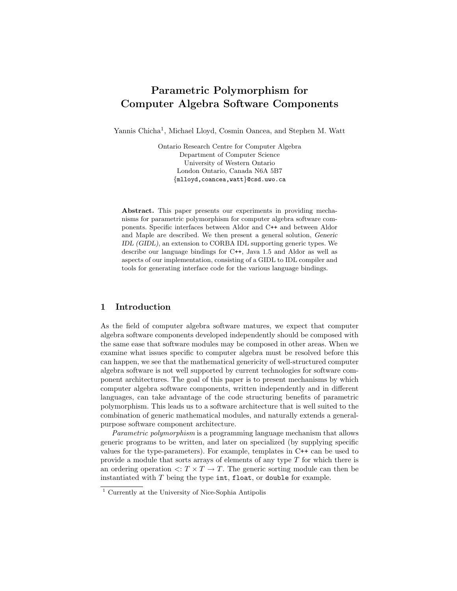# Parametric Polymorphism for Computer Algebra Software Components

Yannis Chicha<sup>1</sup>, Michael Lloyd, Cosmin Oancea, and Stephen M. Watt

Ontario Research Centre for Computer Algebra Department of Computer Science University of Western Ontario London Ontario, Canada N6A 5B7 {mlloyd,coancea,watt}@csd.uwo.ca

Abstract. This paper presents our experiments in providing mechanisms for parametric polymorphism for computer algebra software components. Specific interfaces between Aldor and C++ and between Aldor and Maple are described. We then present a general solution, Generic IDL (GIDL), an extension to CORBA IDL supporting generic types. We describe our language bindings for C++, Java 1.5 and Aldor as well as aspects of our implementation, consisting of a GIDL to IDL compiler and tools for generating interface code for the various language bindings.

# 1 Introduction

As the field of computer algebra software matures, we expect that computer algebra software components developed independently should be composed with the same ease that software modules may be composed in other areas. When we examine what issues specific to computer algebra must be resolved before this can happen, we see that the mathematical genericity of well-structured computer algebra software is not well supported by current technologies for software component architectures. The goal of this paper is to present mechanisms by which computer algebra software components, written independently and in different languages, can take advantage of the code structuring benefits of parametric polymorphism. This leads us to a software architecture that is well suited to the combination of generic mathematical modules, and naturally extends a generalpurpose software component architecture.

Parametric polymorphism is a programming language mechanism that allows generic programs to be written, and later on specialized (by supplying specific values for the type-parameters). For example, templates in C++ can be used to provide a module that sorts arrays of elements of any type  $T$  for which there is an ordering operation  $\langle T \times T \to T$ . The generic sorting module can then be instantiated with  $T$  being the type int, float, or double for example.

<sup>1</sup> Currently at the University of Nice-Sophia Antipolis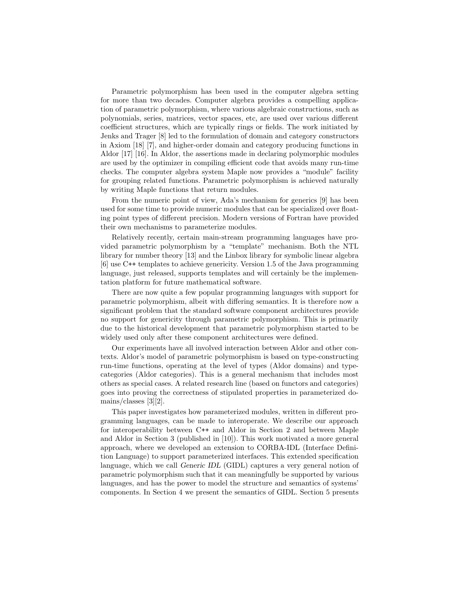Parametric polymorphism has been used in the computer algebra setting for more than two decades. Computer algebra provides a compelling application of parametric polymorphism, where various algebraic constructions, such as polynomials, series, matrices, vector spaces, etc, are used over various different coefficient structures, which are typically rings or fields. The work initiated by Jenks and Trager [8] led to the formulation of domain and category constructors in Axiom [18] [7], and higher-order domain and category producing functions in Aldor [17] [16]. In Aldor, the assertions made in declaring polymorphic modules are used by the optimizer in compiling efficient code that avoids many run-time checks. The computer algebra system Maple now provides a "module" facility for grouping related functions. Parametric polymorphism is achieved naturally by writing Maple functions that return modules.

From the numeric point of view, Ada's mechanism for generics [9] has been used for some time to provide numeric modules that can be specialized over floating point types of different precision. Modern versions of Fortran have provided their own mechanisms to parameterize modules.

Relatively recently, certain main-stream programming languages have provided parametric polymorphism by a "template" mechanism. Both the NTL library for number theory [13] and the Linbox library for symbolic linear algebra [6] use C++ templates to achieve genericity. Version 1.5 of the Java programming language, just released, supports templates and will certainly be the implementation platform for future mathematical software.

There are now quite a few popular programming languages with support for parametric polymorphism, albeit with differing semantics. It is therefore now a significant problem that the standard software component architectures provide no support for genericity through parametric polymorphism. This is primarily due to the historical development that parametric polymorphism started to be widely used only after these component architectures were defined.

Our experiments have all involved interaction between Aldor and other contexts. Aldor's model of parametric polymorphism is based on type-constructing run-time functions, operating at the level of types (Aldor domains) and typecategories (Aldor categories). This is a general mechanism that includes most others as special cases. A related research line (based on functors and categories) goes into proving the correctness of stipulated properties in parameterized domains/classes [3][2].

This paper investigates how parameterized modules, written in different programming languages, can be made to interoperate. We describe our approach for interoperability between C++ and Aldor in Section 2 and between Maple and Aldor in Section 3 (published in [10]). This work motivated a more general approach, where we developed an extension to CORBA-IDL (Interface Definition Language) to support parameterized interfaces. This extended specification language, which we call Generic IDL (GIDL) captures a very general notion of parametric polymorphism such that it can meaningfully be supported by various languages, and has the power to model the structure and semantics of systems' components. In Section 4 we present the semantics of GIDL. Section 5 presents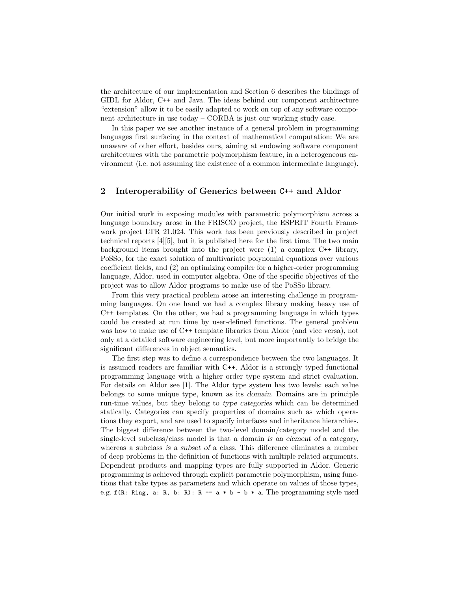the architecture of our implementation and Section 6 describes the bindings of GIDL for Aldor, C++ and Java. The ideas behind our component architecture "extension" allow it to be easily adapted to work on top of any software component architecture in use today – CORBA is just our working study case.

In this paper we see another instance of a general problem in programming languages first surfacing in the context of mathematical computation: We are unaware of other effort, besides ours, aiming at endowing software component architectures with the parametric polymorphism feature, in a heterogeneous environment (i.e. not assuming the existence of a common intermediate language).

### 2 Interoperability of Generics between C++ and Aldor

Our initial work in exposing modules with parametric polymorphism across a language boundary arose in the FRISCO project, the ESPRIT Fourth Framework project LTR 21.024. This work has been previously described in project technical reports [4][5], but it is published here for the first time. The two main background items brought into the project were (1) a complex C++ library, PoSSo, for the exact solution of multivariate polynomial equations over various coefficient fields, and (2) an optimizing compiler for a higher-order programming language, Aldor, used in computer algebra. One of the specific objectives of the project was to allow Aldor programs to make use of the PoSSo library.

From this very practical problem arose an interesting challenge in programming languages. On one hand we had a complex library making heavy use of C++ templates. On the other, we had a programming language in which types could be created at run time by user-defined functions. The general problem was how to make use of C<sup>++</sup> template libraries from Aldor (and vice versa), not only at a detailed software engineering level, but more importantly to bridge the significant differences in object semantics.

The first step was to define a correspondence between the two languages. It is assumed readers are familiar with C++. Aldor is a strongly typed functional programming language with a higher order type system and strict evaluation. For details on Aldor see [1]. The Aldor type system has two levels: each value belongs to some unique type, known as its domain. Domains are in principle run-time values, but they belong to type categories which can be determined statically. Categories can specify properties of domains such as which operations they export, and are used to specify interfaces and inheritance hierarchies. The biggest difference between the two-level domain/category model and the single-level subclass/class model is that a domain is an element of a category, whereas a subclass is a subset of a class. This difference eliminates a number of deep problems in the definition of functions with multiple related arguments. Dependent products and mapping types are fully supported in Aldor. Generic programming is achieved through explicit parametric polymorphism, using functions that take types as parameters and which operate on values of those types, e.g.  $f(R: Ring, a: R, b: R): R == a * b - b * a$ . The programming style used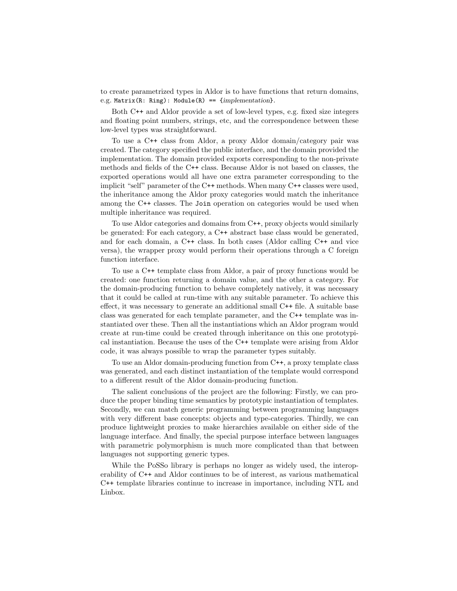to create parametrized types in Aldor is to have functions that return domains, e.g. Matrix(R: Ring): Module(R) ==  ${implementation}$ .

Both C++ and Aldor provide a set of low-level types, e.g. fixed size integers and floating point numbers, strings, etc, and the correspondence between these low-level types was straightforward.

To use a C++ class from Aldor, a proxy Aldor domain/category pair was created. The category specified the public interface, and the domain provided the implementation. The domain provided exports corresponding to the non-private methods and fields of the C++ class. Because Aldor is not based on classes, the exported operations would all have one extra parameter corresponding to the implicit "self" parameter of the C++ methods. When many C++ classes were used, the inheritance among the Aldor proxy categories would match the inheritance among the C++ classes. The Join operation on categories would be used when multiple inheritance was required.

To use Aldor categories and domains from C++, proxy objects would similarly be generated: For each category, a C++ abstract base class would be generated, and for each domain, a C++ class. In both cases (Aldor calling C++ and vice versa), the wrapper proxy would perform their operations through a C foreign function interface.

To use a C++ template class from Aldor, a pair of proxy functions would be created: one function returning a domain value, and the other a category. For the domain-producing function to behave completely natively, it was necessary that it could be called at run-time with any suitable parameter. To achieve this effect, it was necessary to generate an additional small C++ file. A suitable base class was generated for each template parameter, and the C++ template was instantiated over these. Then all the instantiations which an Aldor program would create at run-time could be created through inheritance on this one prototypical instantiation. Because the uses of the C++ template were arising from Aldor code, it was always possible to wrap the parameter types suitably.

To use an Aldor domain-producing function from C++, a proxy template class was generated, and each distinct instantiation of the template would correspond to a different result of the Aldor domain-producing function.

The salient conclusions of the project are the following: Firstly, we can produce the proper binding time semantics by prototypic instantiation of templates. Secondly, we can match generic programming between programming languages with very different base concepts: objects and type-categories. Thirdly, we can produce lightweight proxies to make hierarchies available on either side of the language interface. And finally, the special purpose interface between languages with parametric polymorphism is much more complicated than that between languages not supporting generic types.

While the PoSSo library is perhaps no longer as widely used, the interoperability of C++ and Aldor continues to be of interest, as various mathematical C++ template libraries continue to increase in importance, including NTL and Linbox.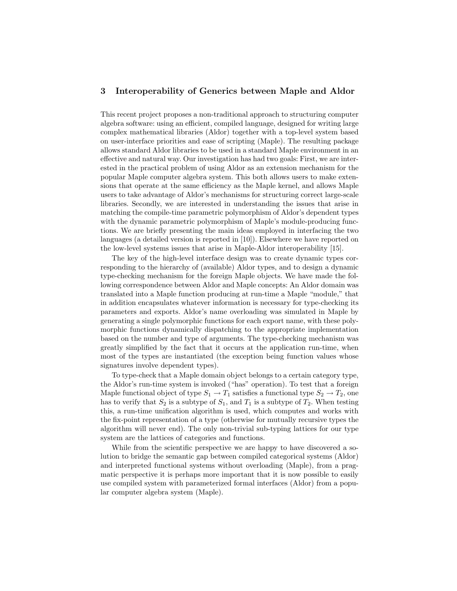# 3 Interoperability of Generics between Maple and Aldor

This recent project proposes a non-traditional approach to structuring computer algebra software: using an efficient, compiled language, designed for writing large complex mathematical libraries (Aldor) together with a top-level system based on user-interface priorities and ease of scripting (Maple). The resulting package allows standard Aldor libraries to be used in a standard Maple environment in an effective and natural way. Our investigation has had two goals: First, we are interested in the practical problem of using Aldor as an extension mechanism for the popular Maple computer algebra system. This both allows users to make extensions that operate at the same efficiency as the Maple kernel, and allows Maple users to take advantage of Aldor's mechanisms for structuring correct large-scale libraries. Secondly, we are interested in understanding the issues that arise in matching the compile-time parametric polymorphism of Aldor's dependent types with the dynamic parametric polymorphism of Maple's module-producing functions. We are briefly presenting the main ideas employed in interfacing the two languages (a detailed version is reported in [10]). Elsewhere we have reported on the low-level systems issues that arise in Maple-Aldor interoperability [15].

The key of the high-level interface design was to create dynamic types corresponding to the hierarchy of (available) Aldor types, and to design a dynamic type-checking mechanism for the foreign Maple objects. We have made the following correspondence between Aldor and Maple concepts: An Aldor domain was translated into a Maple function producing at run-time a Maple "module," that in addition encapsulates whatever information is necessary for type-checking its parameters and exports. Aldor's name overloading was simulated in Maple by generating a single polymorphic functions for each export name, with these polymorphic functions dynamically dispatching to the appropriate implementation based on the number and type of arguments. The type-checking mechanism was greatly simplified by the fact that it occurs at the application run-time, when most of the types are instantiated (the exception being function values whose signatures involve dependent types).

To type-check that a Maple domain object belongs to a certain category type, the Aldor's run-time system is invoked ("has" operation). To test that a foreign Maple functional object of type  $S_1 \to T_1$  satisfies a functional type  $S_2 \to T_2$ , one has to verify that  $S_2$  is a subtype of  $S_1$ , and  $T_1$  is a subtype of  $T_2$ . When testing this, a run-time unification algorithm is used, which computes and works with the fix-point representation of a type (otherwise for mutually recursive types the algorithm will never end). The only non-trivial sub-typing lattices for our type system are the lattices of categories and functions.

While from the scientific perspective we are happy to have discovered a solution to bridge the semantic gap between compiled categorical systems (Aldor) and interpreted functional systems without overloading (Maple), from a pragmatic perspective it is perhaps more important that it is now possible to easily use compiled system with parameterized formal interfaces (Aldor) from a popular computer algebra system (Maple).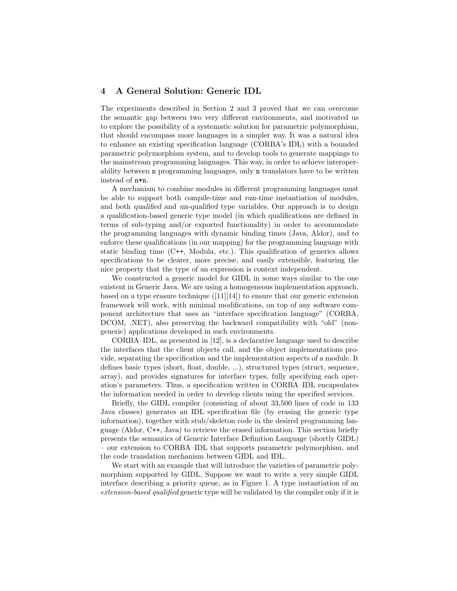## 4 A General Solution: Generic IDL

The experiments described in Section 2 and 3 proved that we can overcome the semantic gap between two very different environments, and motivated us to explore the possibility of a systematic solution for parametric polymorphism, that should encompass more languages in a simpler way. It was a natural idea to enhance an existing specification language (CORBA's IDL) with a bounded parametric polymorphism system, and to develop tools to generate mappings to the mainstream programming languages. This way, in order to achieve interoperability between n programming languages, only n translators have to be written instead of n\*n.

A mechanism to combine modules in different programming languages must be able to support both compile-time and run-time instantiation of modules, and both qualified and un-qualified type variables. Our approach is to design a qualification-based generic type model (in which qualifications are defined in terms of sub-typing and/or exported functionality) in order to accommodate the programming languages with dynamic binding times (Java, Aldor), and to enforce these qualifications (in our mapping) for the programming language with static binding time (C++, Modula, etc.). This qualification of generics allows specifications to be clearer, more precise, and easily extensible, featuring the nice property that the type of an expression is context independent.

We constructed a generic model for GIDL in some ways similar to the one existent in Generic Java. We are using a homogeneous implementation approach, based on a type erasure technique  $([11][14])$  to ensure that our generic extension framework will work, with minimal modifications, on top of any software component architecture that uses an "interface specification language" (CORBA, DCOM, .NET), also preserving the backward compatibility with "old" (nongeneric) applications developed in such environments.

CORBA–IDL, as presented in [12], is a declarative language used to describe the interfaces that the client objects call, and the object implementations provide, separating the specification and the implementation aspects of a module. It defines basic types (short, float, double, ...), structured types (struct, sequence, array), and provides signatures for interface types, fully specifying each operation's parameters. Thus, a specification written in CORBA–IDL encapsulates the information needed in order to develop clients using the specified services.

Briefly, the GIDL compiler (consisting of about 33,500 lines of code in 133 Java classes) generates an IDL specification file (by erasing the generic type information), together with stub/skeleton code in the desired programming language (Aldor, C++, Java) to retrieve the erased information. This section briefly presents the semantics of Generic Interface Definition Language (shortly GIDL) – our extension to CORBA–IDL that supports parametric polymorphism, and the code translation mechanism between GIDL and IDL.

We start with an example that will introduce the varieties of parametric polymorphism supported by GIDL. Suppose we want to write a very simple GIDL interface describing a priority queue, as in Figure 1. A type instantiation of an extension-based qualified generic type will be validated by the compiler only if it is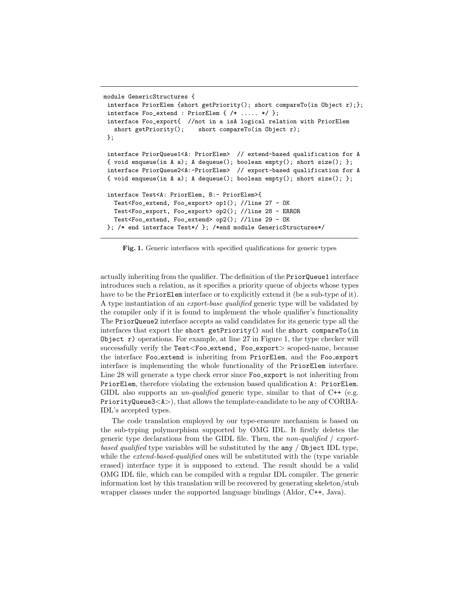```
module GenericStructures {
interface PriorElem {short getPriority(); short compareTo(in Object r);};
interface Foo_extend : PriorElem { /* ..... */ };
interface Foo_export{ //not in a isA logical relation with PriorElem
   short getPriority(); short compareTo(in Object r);
};
interface PriorQueue1<A: PriorElem> // extend-based qualification for A
{ void enqueue(in A a); A dequeue(); boolean empty(); short size(); };
interface PriorQueue2<A:-PriorElem> // export-based qualification for A
{ void enqueue(in A a); A dequeue(); boolean empty(); short size(); };
interface Test<A: PriorElem, B:- PriorElem>{
  Test<Foo_extend, Foo_export> op1(); //line 27 - OK
  Test<Foo_export, Foo_export> op2(); //line 28 - ERROR
  Test<Foo_extend, Foo_extend> op2(); //line 29 - OK
}; /* end interface Test*/ }; /*end module GenericStructures*/
```
Fig. 1. Generic interfaces with specified qualifications for generic types

actually inheriting from the qualifier. The definition of the PriorQueue1 interface introduces such a relation, as it specifies a priority queue of objects whose types have to be the PriorElem interface or to explicitly extend it (be a sub-type of it). A type instantiation of an export-base qualified generic type will be validated by the compiler only if it is found to implement the whole qualifier's functionality The PriorQueue2 interface accepts as valid candidates for its generic type all the interfaces that export the short getPriority() and the short compareTo(in Object  $\mathbf r$ ) operations. For example, at line 27 in Figure 1, the type checker will successfully verify the Test<Foo\_extend, Foo\_export> scoped-name, because the interface Foo extend is inheriting from PriorElem, and the Foo export interface is implementing the whole functionality of the PriorElem interface. Line 28 will generate a type check error since Foo export is not inheriting from PriorElem, therefore violating the extension based qualification A: PriorElem. GIDL also supports an *un-qualified* generic type, similar to that of  $C++$  (e.g. PriorityQueue3<A>), that allows the template-candidate to be any of CORBA-IDL's accepted types.

The code translation employed by our type-erasure mechanism is based on the sub-typing polymorphism supported by OMG IDL. It firstly deletes the generic type declarations from the GIDL file. Then, the non-qualified / exportbased qualified type variables will be substituted by the any / 0bject IDL type, while the *extend-based-qualified* ones will be substituted with the (type variable erased) interface type it is supposed to extend. The result should be a valid OMG IDL file, which can be compiled with a regular IDL compiler. The generic information lost by this translation will be recovered by generating skeleton/stub wrapper classes under the supported language bindings (Aldor, C++, Java).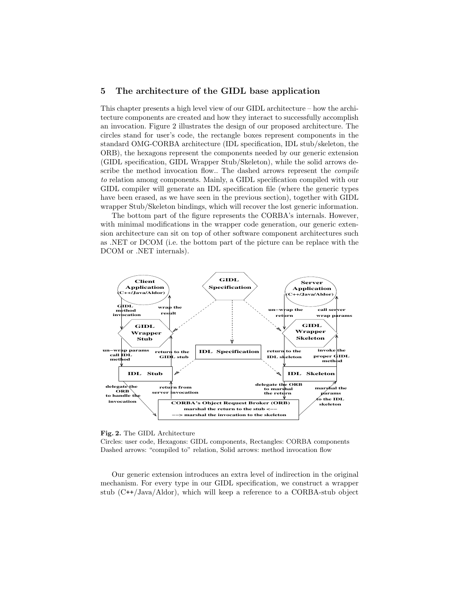# 5 The architecture of the GIDL base application

This chapter presents a high level view of our GIDL architecture – how the architecture components are created and how they interact to successfully accomplish an invocation. Figure 2 illustrates the design of our proposed architecture. The circles stand for user's code, the rectangle boxes represent components in the standard OMG-CORBA architecture (IDL specification, IDL stub/skeleton, the ORB), the hexagons represent the components needed by our generic extension (GIDL specification, GIDL Wrapper Stub/Skeleton), while the solid arrows describe the method invocation flow.. The dashed arrows represent the *compile* to relation among components. Mainly, a GIDL specification compiled with our GIDL compiler will generate an IDL specification file (where the generic types have been erased, as we have seen in the previous section), together with GIDL wrapper Stub/Skeleton bindings, which will recover the lost generic information.

The bottom part of the figure represents the CORBA's internals. However, with minimal modifications in the wrapper code generation, our generic extension architecture can sit on top of other software component architectures such as .NET or DCOM (i.e. the bottom part of the picture can be replace with the DCOM or .NET internals).



Fig. 2. The GIDL Architecture

Circles: user code, Hexagons: GIDL components, Rectangles: CORBA components Dashed arrows: "compiled to" relation, Solid arrows: method invocation flow

Our generic extension introduces an extra level of indirection in the original mechanism. For every type in our GIDL specification, we construct a wrapper stub (C++/Java/Aldor), which will keep a reference to a CORBA-stub object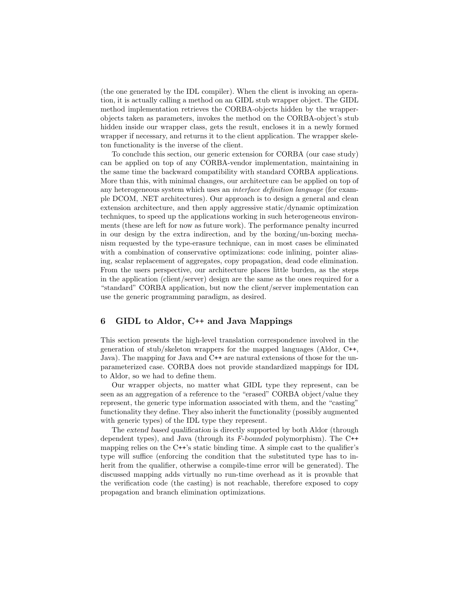(the one generated by the IDL compiler). When the client is invoking an operation, it is actually calling a method on an GIDL stub wrapper object. The GIDL method implementation retrieves the CORBA-objects hidden by the wrapperobjects taken as parameters, invokes the method on the CORBA-object's stub hidden inside our wrapper class, gets the result, encloses it in a newly formed wrapper if necessary, and returns it to the client application. The wrapper skeleton functionality is the inverse of the client.

To conclude this section, our generic extension for CORBA (our case study) can be applied on top of any CORBA-vendor implementation, maintaining in the same time the backward compatibility with standard CORBA applications. More than this, with minimal changes, our architecture can be applied on top of any heterogeneous system which uses an interface definition language (for example DCOM, .NET architectures). Our approach is to design a general and clean extension architecture, and then apply aggressive static/dynamic optimization techniques, to speed up the applications working in such heterogeneous environments (these are left for now as future work). The performance penalty incurred in our design by the extra indirection, and by the boxing/un-boxing mechanism requested by the type-erasure technique, can in most cases be eliminated with a combination of conservative optimizations: code inlining, pointer aliasing, scalar replacement of aggregates, copy propagation, dead code elimination. From the users perspective, our architecture places little burden, as the steps in the application (client/server) design are the same as the ones required for a "standard" CORBA application, but now the client/server implementation can use the generic programming paradigm, as desired.

#### 6 GIDL to Aldor, C++ and Java Mappings

This section presents the high-level translation correspondence involved in the generation of stub/skeleton wrappers for the mapped languages (Aldor, C++, Java). The mapping for Java and C++ are natural extensions of those for the unparameterized case. CORBA does not provide standardized mappings for IDL to Aldor, so we had to define them.

Our wrapper objects, no matter what GIDL type they represent, can be seen as an aggregation of a reference to the "erased" CORBA object/value they represent, the generic type information associated with them, and the "casting" functionality they define. They also inherit the functionality (possibly augmented with generic types) of the IDL type they represent.

The extend based qualification is directly supported by both Aldor (through dependent types), and Java (through its F-bounded polymorphism). The C++ mapping relies on the C++'s static binding time. A simple cast to the qualifier's type will suffice (enforcing the condition that the substituted type has to inherit from the qualifier, otherwise a compile-time error will be generated). The discussed mapping adds virtually no run-time overhead as it is provable that the verification code (the casting) is not reachable, therefore exposed to copy propagation and branch elimination optimizations.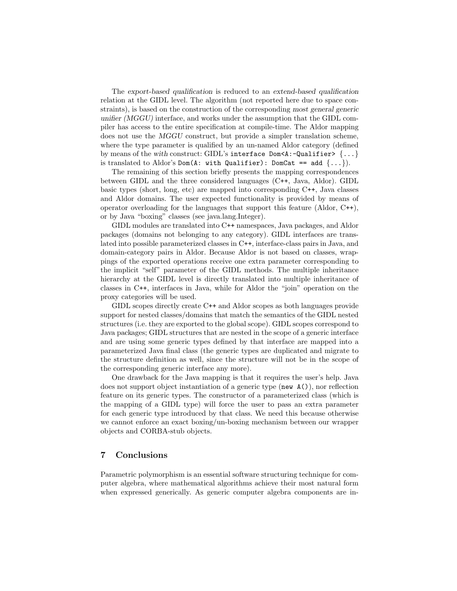The export-based qualification is reduced to an extend-based qualification relation at the GIDL level. The algorithm (not reported here due to space constraints), is based on the construction of the corresponding most general generic unifier (MGGU) interface, and works under the assumption that the GIDL compiler has access to the entire specification at compile-time. The Aldor mapping does not use the MGGU construct, but provide a simpler translation scheme, where the type parameter is qualified by an un-named Aldor category (defined by means of the with construct: GIDL's interface  $Dom\leq A:\text{-Qualifier}\geq \{ \dots \}$ is translated to Aldor's Dom(A: with Qualifier): DomCat == add  $\{ \ldots \}$ ).

The remaining of this section briefly presents the mapping correspondences between GIDL and the three considered languages (C++, Java, Aldor). GIDL basic types (short, long, etc) are mapped into corresponding C++, Java classes and Aldor domains. The user expected functionality is provided by means of operator overloading for the languages that support this feature (Aldor, C++), or by Java "boxing" classes (see java.lang.Integer).

GIDL modules are translated into C++ namespaces, Java packages, and Aldor packages (domains not belonging to any category). GIDL interfaces are translated into possible parameterized classes in C++, interface-class pairs in Java, and domain-category pairs in Aldor. Because Aldor is not based on classes, wrappings of the exported operations receive one extra parameter corresponding to the implicit "self" parameter of the GIDL methods. The multiple inheritance hierarchy at the GIDL level is directly translated into multiple inheritance of classes in C++, interfaces in Java, while for Aldor the "join" operation on the proxy categories will be used.

GIDL scopes directly create C++ and Aldor scopes as both languages provide support for nested classes/domains that match the semantics of the GIDL nested structures (i.e. they are exported to the global scope). GIDL scopes correspond to Java packages; GIDL structures that are nested in the scope of a generic interface and are using some generic types defined by that interface are mapped into a parameterized Java final class (the generic types are duplicated and migrate to the structure definition as well, since the structure will not be in the scope of the corresponding generic interface any more).

One drawback for the Java mapping is that it requires the user's help. Java does not support object instantiation of a generic type (new  $A()$ ), nor reflection feature on its generic types. The constructor of a parameterized class (which is the mapping of a GIDL type) will force the user to pass an extra parameter for each generic type introduced by that class. We need this because otherwise we cannot enforce an exact boxing/un-boxing mechanism between our wrapper objects and CORBA-stub objects.

# 7 Conclusions

Parametric polymorphism is an essential software structuring technique for computer algebra, where mathematical algorithms achieve their most natural form when expressed generically. As generic computer algebra components are in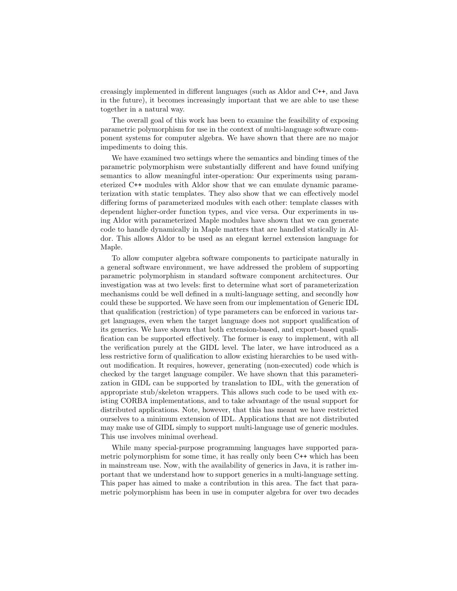creasingly implemented in different languages (such as Aldor and C++, and Java in the future), it becomes increasingly important that we are able to use these together in a natural way.

The overall goal of this work has been to examine the feasibility of exposing parametric polymorphism for use in the context of multi-language software component systems for computer algebra. We have shown that there are no major impediments to doing this.

We have examined two settings where the semantics and binding times of the parametric polymorphism were substantially different and have found unifying semantics to allow meaningful inter-operation: Our experiments using parameterized C++ modules with Aldor show that we can emulate dynamic parameterization with static templates. They also show that we can effectively model differing forms of parameterized modules with each other: template classes with dependent higher-order function types, and vice versa. Our experiments in using Aldor with parameterized Maple modules have shown that we can generate code to handle dynamically in Maple matters that are handled statically in Aldor. This allows Aldor to be used as an elegant kernel extension language for Maple.

To allow computer algebra software components to participate naturally in a general software environment, we have addressed the problem of supporting parametric polymorphism in standard software component architectures. Our investigation was at two levels: first to determine what sort of parameterization mechanisms could be well defined in a multi-language setting, and secondly how could these be supported. We have seen from our implementation of Generic IDL that qualification (restriction) of type parameters can be enforced in various target languages, even when the target language does not support qualification of its generics. We have shown that both extension-based, and export-based qualification can be supported effectively. The former is easy to implement, with all the verification purely at the GIDL level. The later, we have introduced as a less restrictive form of qualification to allow existing hierarchies to be used without modification. It requires, however, generating (non-executed) code which is checked by the target language compiler. We have shown that this parameterization in GIDL can be supported by translation to IDL, with the generation of appropriate stub/skeleton wrappers. This allows such code to be used with existing CORBA implementations, and to take advantage of the usual support for distributed applications. Note, however, that this has meant we have restricted ourselves to a minimum extension of IDL. Applications that are not distributed may make use of GIDL simply to support multi-language use of generic modules. This use involves minimal overhead.

While many special-purpose programming languages have supported parametric polymorphism for some time, it has really only been C++ which has been in mainstream use. Now, with the availability of generics in Java, it is rather important that we understand how to support generics in a multi-language setting. This paper has aimed to make a contribution in this area. The fact that parametric polymorphism has been in use in computer algebra for over two decades